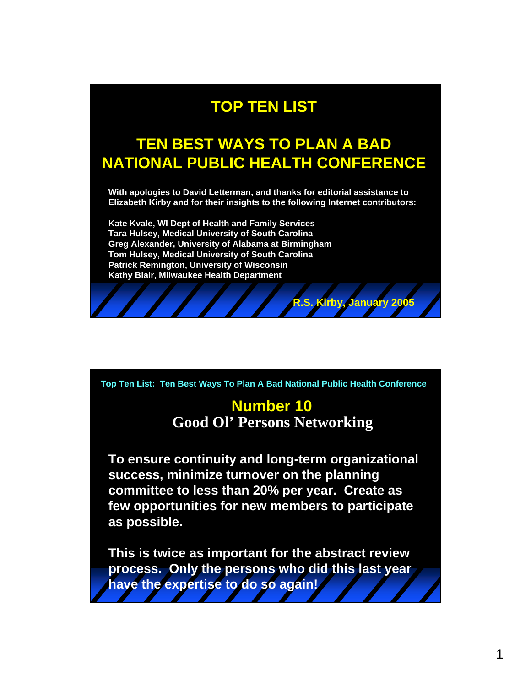# **TOP TEN LIST**

# **TEN BEST WAYS TO PLAN A BAD NATIONAL PUBLIC HEALTH CONFERENCE**

**With apologies to David Letterman, and thanks for editorial assistance to Elizabeth Kirby and for their insights to the following Internet contributors:** 

**Kate Kvale, WI Dept of Health and Family Services Tara Hulsey, Medical University of South Carolina Greg Alexander, University of Alabama at Birmingham Tom Hulsey, Medical University of South Carolina Patrick Remington, University of Wisconsin Kathy Blair, Milwaukee Health Department**

**Top Ten List: Ten Best Ways To Plan A Bad National Public Health Conference**

#### **Number 10 Good Ol' Persons Networking**

**R.S. Kirby, January 2005**

**To ensure continuity and long-term organizational success, minimize turnover on the planning committee to less than 20% per year. Create as few opportunities for new members to participate as possible.**

**This is twice as important for the abstract review process. Only the persons who did this last year have the expertise to do so again!**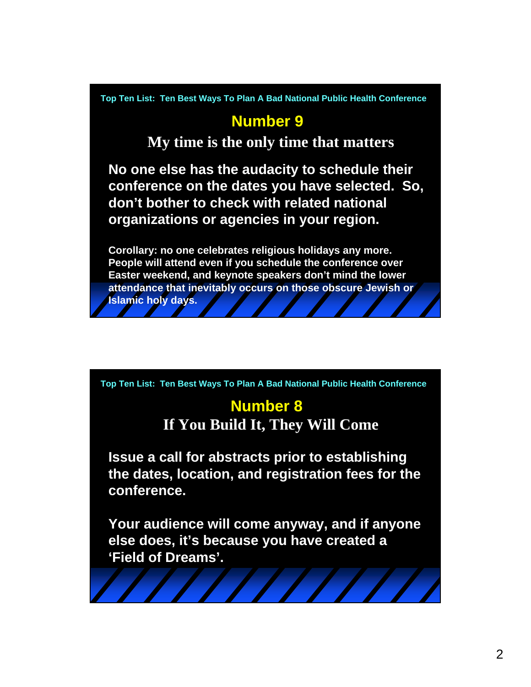## **Number 9**

**My time is the only time that matters**

**No one else has the audacity to schedule their conference on the dates you have selected. So, don't bother to check with related national organizations or agencies in your region.**

**Corollary: no one celebrates religious holidays any more. People will attend even if you schedule the conference over Easter weekend, and keynote speakers don't mind the lower attendance that inevitably occurs on those obscure Jewish or Islamic holy days.**

**Top Ten List: Ten Best Ways To Plan A Bad National Public Health Conference**

# **Number 8**

**If You Build It, They Will Come**

**Issue a call for abstracts prior to establishing the dates, location, and registration fees for the conference.**

**Your audience will come anyway, and if anyone else does, it's because you have created a 'Field of Dreams'.**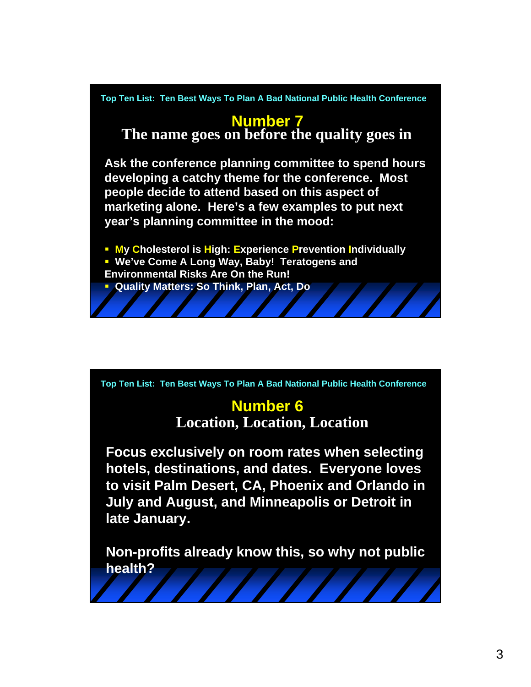

# **Number 7**

**The name goes on before the quality goes in**

**Ask the conference planning committee to spend hours developing a catchy theme for the conference. Most people decide to attend based on this aspect of marketing alone. Here's a few examples to put next year's planning committee in the mood:**

**My Cholesterol is High: Experience Prevention Individually We've Come A Long Way, Baby! Teratogens and Environmental Risks Are On the Run! Quality Matters: So Think, Plan, Act, Do**

**Top Ten List: Ten Best Ways To Plan A Bad National Public Health Conference**

# **Number 6**

**Location, Location, Location**

**Focus exclusively on room rates when selecting hotels, destinations, and dates. Everyone loves to visit Palm Desert, CA, Phoenix and Orlando in July and August, and Minneapolis or Detroit in late January.**

**Non-profits already know this, so why not public health?**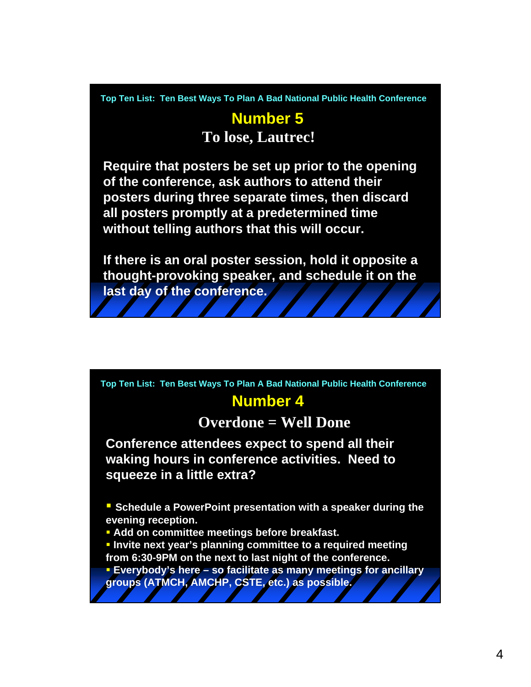## **Number 5 To lose, Lautrec!**

**Require that posters be set up prior to the opening of the conference, ask authors to attend their posters during three separate times, then discard all posters promptly at a predetermined time without telling authors that this will occur.**

**If there is an oral poster session, hold it opposite a thought-provoking speaker, and schedule it on the last day of the conference.** 

**Top Ten List: Ten Best Ways To Plan A Bad National Public Health Conference**

# **Number 4**

## **Overdone = Well Done**

**Conference attendees expect to spend all their waking hours in conference activities. Need to squeeze in a little extra?** 

**Schedule a PowerPoint presentation with a speaker during the evening reception.**

**Add on committee meetings before breakfast.**

**Invite next year's planning committee to a required meeting from 6:30-9PM on the next to last night of the conference.**

 **Everybody's here – so facilitate as many meetings for ancillary groups (ATMCH, AMCHP, CSTE, etc.) as possible.**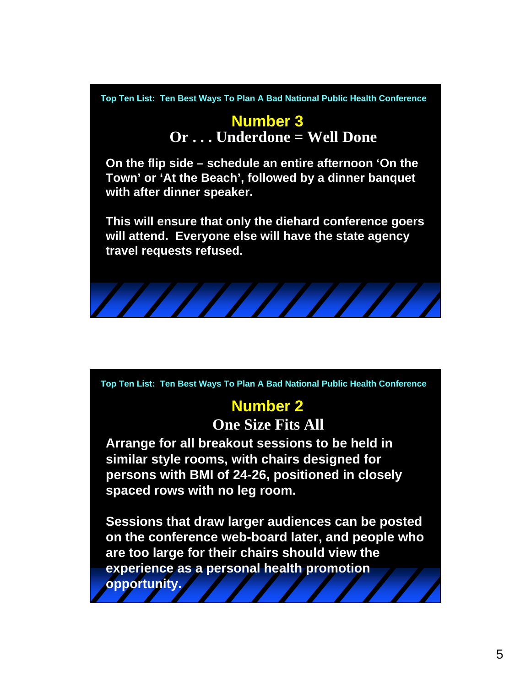## **Number 3 Or . . . Underdone = Well Done**

**On the flip side – schedule an entire afternoon 'On the Town' or 'At the Beach', followed by a dinner banquet with after dinner speaker.**

**This will ensure that only the diehard conference goers will attend. Everyone else will have the state agency travel requests refused.**



**Top Ten List: Ten Best Ways To Plan A Bad National Public Health Conference**

# **Number 2**

**One Size Fits All**

**Arrange for all breakout sessions to be held in similar style rooms, with chairs designed for persons with BMI of 24-26, positioned in closely spaced rows with no leg room.**

**Sessions that draw larger audiences can be posted on the conference web-board later, and people who are too large for their chairs should view the experience as a personal health promotion opportunity.**